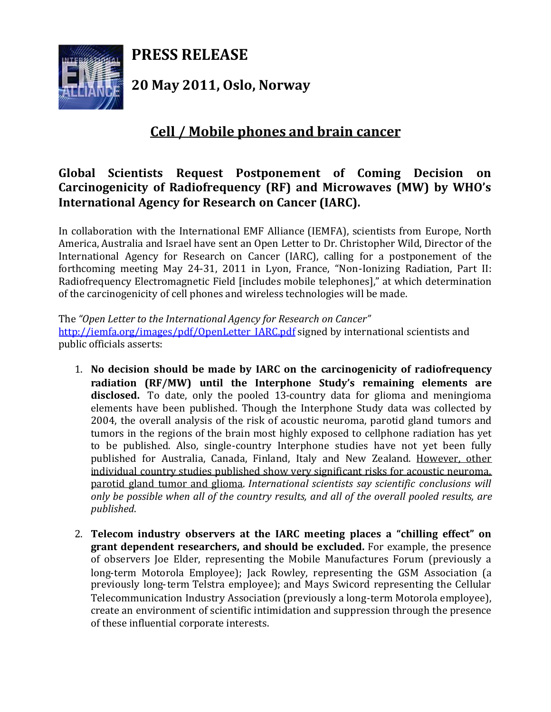**PRESS RELEASE**



**20 May 2011, Oslo, Norway**

## **Cell / Mobile phones and brain cancer**

## **Global Scientists Request Postponement of Coming Decision on Carcinogenicity of Radiofrequency (RF) and Microwaves (MW) by WHO's International Agency for Research on Cancer (IARC).**

In collaboration with the International EMF Alliance (IEMFA), scientists from Europe, North America, Australia and Israel have sent an Open Letter to Dr. Christopher Wild, Director of the International Agency for Research on Cancer (IARC), calling for a postponement of the forthcoming meeting May 24-31, 2011 in Lyon, France, "Non-Ionizing Radiation, Part II: Radiofrequency Electromagnetic Field [includes mobile telephones]," at which determination of the carcinogenicity of cell phones and wireless technologies will be made.

The *"Open Letter to the International Agency for Research on Cancer"* http://iemfa.org/images/pdf/OpenLetter\_IARC.pdf signed by international scientists and public officials asserts:

- 1. **No decision should be made by IARC on the carcinogenicity of radiofrequency radiation (RF/MW) until the Interphone Study's remaining elements are disclosed.** To date, only the pooled 13-country data for glioma and meningioma elements have been published. Though the Interphone Study data was collected by 2004, the overall analysis of the risk of acoustic neuroma, parotid gland tumors and tumors in the regions of the brain most highly exposed to cellphone radiation has yet to be published. Also, single-country Interphone studies have not yet been fully published for Australia, Canada, Finland, Italy and New Zealand. However, other individual country studies published show very significant risks for acoustic neuroma, parotid gland tumor and glioma. *International scientists say scientific conclusions will only be possible when all of the country results, and all of the overall pooled results, are published*.
- 2. **Telecom industry observers at the IARC meeting places a "chilling effect" on grant dependent researchers, and should be excluded.** For example, the presence of observers Joe Elder, representing the Mobile Manufactures Forum (previously a long-term Motorola Employee); Jack Rowley, representing the GSM Association (a previously long-term Telstra employee); and Mays Swicord representing the Cellular Telecommunication Industry Association (previously a long-term Motorola employee), create an environment of scientific intimidation and suppression through the presence of these influential corporate interests.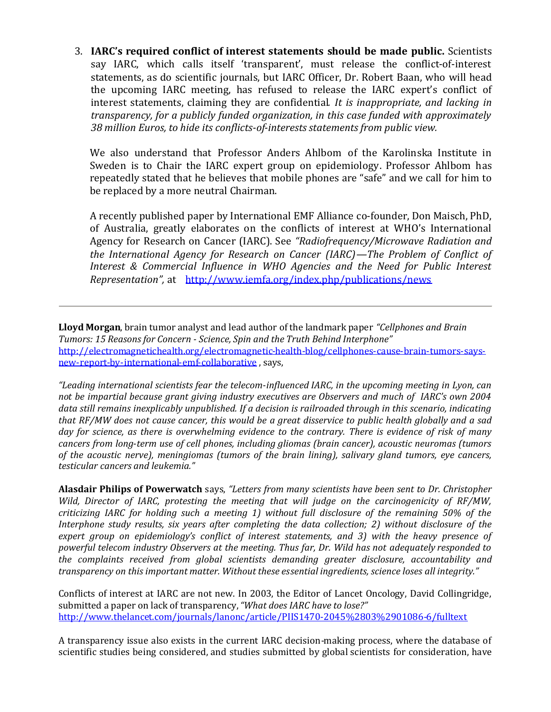3. **IARC's required conflict of interest statements should be made public.** Scientists say IARC, which calls itself 'transparent', must release the conflict-of-interest statements, as do scientific journals, but IARC Officer, Dr. Robert Baan, who will head the upcoming IARC meeting, has refused to release the IARC expert's conflict of interest statements, claiming they are confidential*. It is inappropriate, and lacking in transparency, for a publicly funded organization, in this case funded with approximately 38 million Euros, to hide its conflicts-of-interests statements from public view.*

We also understand that Professor Anders Ahlbom of the Karolinska Institute in Sweden is to Chair the IARC expert group on epidemiology. Professor Ahlbom has repeatedly stated that he believes that mobile phones are "safe" and we call for him to be replaced by a more neutral Chairman.

A recently published paper by International EMF Alliance co-founder, Don Maisch, PhD, of Australia, greatly elaborates on the conflicts of interest at WHO's International Agency for Research on Cancer (IARC). See *"Radiofrequency/Microwave Radiation and the International Agency for Research on Cancer (IARC)—The Problem of Conflict of Interest & Commercial Influence in WHO Agencies and the Need for Public Interest Representation",* at http://www.iemfa.org/index.php/publications/news

**Lloyd Morgan**, brain tumor analyst and lead author of the landmark paper *"Cellphones and Brain Tumors: 15 Reasons for Concern - Science, Spin and the Truth Behind Interphone"* http://electromagnetichealth.org/electromagnetic-health-blog/cellphones-cause-brain-tumors-saysnew-report-by-international-emf-collaborative , says,

*"Leading international scientists fear the telecom-influenced IARC, in the upcoming meeting in Lyon, can not be impartial because grant giving industry executives are Observers and much of IARC's own 2004 data still remains inexplicably unpublished. If a decision is railroaded through in this scenario, indicating that RF/MW does not cause cancer, this would be a great disservice to public health globally and a sad day for science, as there is overwhelming evidence to the contrary. There is evidence of risk of many cancers from long-term use of cell phones, including gliomas (brain cancer), acoustic neuromas (tumors of the acoustic nerve), meningiomas (tumors of the brain lining), salivary gland tumors, eye cancers, testicular cancers and leukemia."*

**Alasdair Philips of Powerwatch** says, *"Letters from many scientists have been sent to Dr. Christopher Wild, Director of IARC, protesting the meeting that will judge on the carcinogenicity of RF/MW, criticizing IARC for holding such a meeting 1) without full disclosure of the remaining 50% of the Interphone study results, six years after completing the data collection; 2) without disclosure of the expert group on epidemiology's conflict of interest statements, and 3) with the heavy presence of powerful telecom industry Observers at the meeting. Thus far, Dr. Wild has not adequately responded to the complaints received from global scientists demanding greater disclosure, accountability and transparency on this important matter. Without these essential ingredients, science loses all integrity."*

Conflicts of interest at IARC are not new. In 2003, the Editor of Lancet Oncology, David Collingridge, submitted a paper on lack of transparency,*"What does IARC have to lose?"* http://www.thelancet.com/journals/lanonc/article/PIIS1470-2045%2803%2901086-6/fulltext

A transparency issue also exists in the current IARC decision-making process, where the database of scientific studies being considered, and studies submitted by global scientists for consideration, have